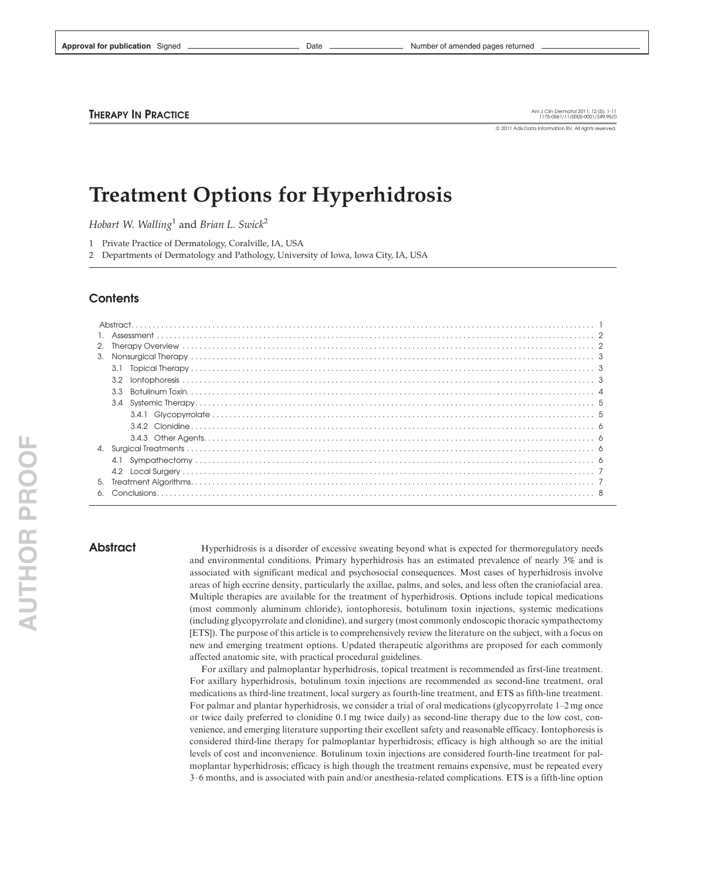Approval for publication Signed **Container and Date Act of a memory of amended pages returned** Aumber of amended pages returned

**THERAPY IN PRACTICE** 

Am J Clin Dermatol 2011; 12 (5): 1-11<br>1175-0561/11/0005-0001/\$49.95/0

© 2011 Adis Data Information BV. All rights reserved

# Treatment Options for Hyperhidrosis

Hobart W. Walling<sup>1</sup> and Brian L. Swick<sup>2</sup>

1 Private Practice of Dermatology, Coralville, IA, USA

2 Departments of Dermatology and Pathology, University of Iowa, Iowa City, IA, USA

# **Contents**

|    | 3.3                                       |  |
|----|-------------------------------------------|--|
|    |                                           |  |
|    |                                           |  |
|    |                                           |  |
|    |                                           |  |
| 4. |                                           |  |
|    |                                           |  |
|    | 4.2                                       |  |
| 5. | Treatment Algorithms.<br>The Conclusions. |  |
| 6. |                                           |  |

Abstract Hyperhidrosis is a disorder of excessive sweating beyond what is expected for thermoregulatory needs and environmental conditions. Primary hyperhidrosis has an estimated prevalence of nearly 3% and is associated with significant medical and psychosocial consequences. Most cases of hyperhidrosis involve areas of high eccrine density, particularly the axillae, palms, and soles, and less often the craniofacial area. Multiple therapies are available for the treatment of hyperhidrosis. Options include topical medications (most commonly aluminum chloride), iontophoresis, botulinum toxin injections, systemic medications (including glycopyrrolate and clonidine), and surgery (most commonly endoscopic thoracic sympathectomy [ETS]). The purpose of this article is to comprehensively review the literature on the subject, with a focus on new and emerging treatment options. Updated therapeutic algorithms are proposed for each commonly affected anatomic site, with practical procedural guidelines.

> For axillary and palmoplantar hyperhidrosis, topical treatment is recommended as first-line treatment. For axillary hyperhidrosis, botulinum toxin injections are recommended as second-line treatment, oral medications as third-line treatment, local surgery as fourth-line treatment, and ETS as fifth-line treatment. For palmar and plantar hyperhidrosis, we consider a trial of oral medications (glycopyrrolate 1–2 mg once or twice daily preferred to clonidine 0.1 mg twice daily) as second-line therapy due to the low cost, convenience, and emerging literature supporting their excellent safety and reasonable efficacy. Iontophoresis is considered third-line therapy for palmoplantar hyperhidrosis; efficacy is high although so are the initial levels of cost and inconvenience. Botulinum toxin injections are considered fourth-line treatment for palmoplantar hyperhidrosis; efficacy is high though the treatment remains expensive, must be repeated every 3–6 months, and is associated with pain and/or anesthesia-related complications. ETS is a fifth-line option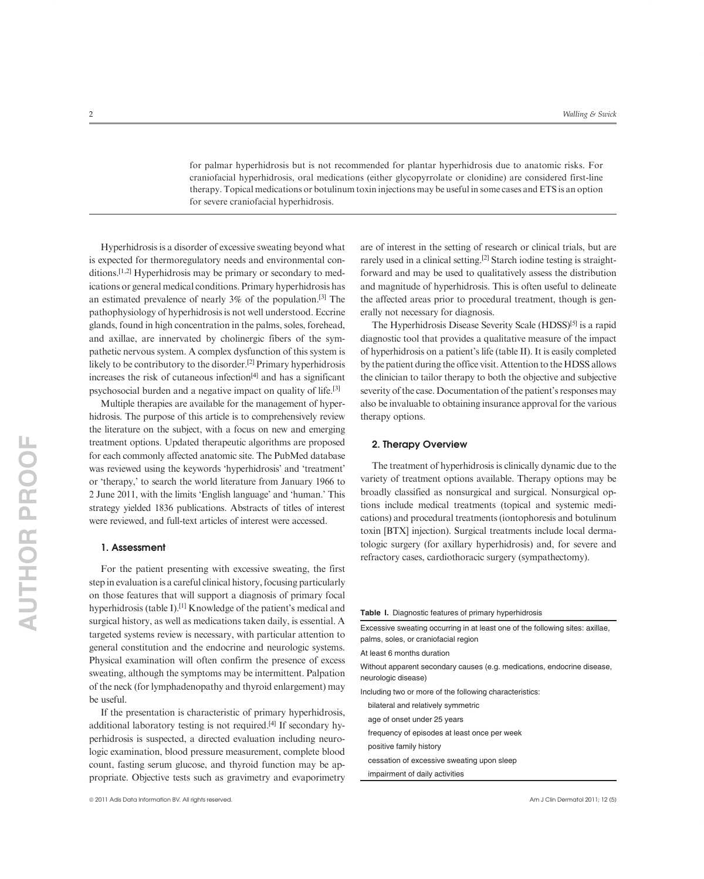for palmar hyperhidrosis but is not recommended for plantar hyperhidrosis due to anatomic risks. For craniofacial hyperhidrosis, oral medications (either glycopyrrolate or clonidine) are considered first-line therapy. Topical medications or botulinum toxin injections may be useful in some cases and ETS is an option for severe craniofacial hyperhidrosis.

Hyperhidrosis is a disorder of excessive sweating beyond what is expected for thermoregulatory needs and environmental conditions.<sup>[1,2]</sup> Hyperhidrosis may be primary or secondary to medications or general medical conditions. Primary hyperhidrosis has an estimated prevalence of nearly 3% of the population.[3] The pathophysiology of hyperhidrosis is not well understood. Eccrine glands, found in high concentration in the palms, soles, forehead, and axillae, are innervated by cholinergic fibers of the sympathetic nervous system. A complex dysfunction of this system is likely to be contributory to the disorder.<sup>[2]</sup> Primary hyperhidrosis increases the risk of cutaneous infection $[4]$  and has a significant psychosocial burden and a negative impact on quality of life.[3]

Multiple therapies are available for the management of hyperhidrosis. The purpose of this article is to comprehensively review the literature on the subject, with a focus on new and emerging treatment options. Updated therapeutic algorithms are proposed for each commonly affected anatomic site. The PubMed database was reviewed using the keywords 'hyperhidrosis' and 'treatment' or 'therapy,' to search the world literature from January 1966 to 2 June 2011, with the limits 'English language' and 'human.' This strategy yielded 1836 publications. Abstracts of titles of interest were reviewed, and full-text articles of interest were accessed.

#### 1. Assessment

For the patient presenting with excessive sweating, the first step in evaluation is a careful clinical history, focusing particularly on those features that will support a diagnosis of primary focal hyperhidrosis (table I).[1] Knowledge of the patient's medical and surgical history, as well as medications taken daily, is essential. A targeted systems review is necessary, with particular attention to general constitution and the endocrine and neurologic systems. Physical examination will often confirm the presence of excess sweating, although the symptoms may be intermittent. Palpation of the neck (for lymphadenopathy and thyroid enlargement) may be useful.

If the presentation is characteristic of primary hyperhidrosis, additional laboratory testing is not required.[4] If secondary hyperhidrosis is suspected, a directed evaluation including neurologic examination, blood pressure measurement, complete blood count, fasting serum glucose, and thyroid function may be appropriate. Objective tests such as gravimetry and evaporimetry

are of interest in the setting of research or clinical trials, but are rarely used in a clinical setting.[2] Starch iodine testing is straightforward and may be used to qualitatively assess the distribution and magnitude of hyperhidrosis. This is often useful to delineate the affected areas prior to procedural treatment, though is generally not necessary for diagnosis.

The Hyperhidrosis Disease Severity Scale (HDSS)[5] is a rapid diagnostic tool that provides a qualitative measure of the impact of hyperhidrosis on a patient's life (table II). It is easily completed by the patient during the office visit. Attention to the HDSS allows the clinician to tailor therapy to both the objective and subjective severity of the case. Documentation of the patient's responses may also be invaluable to obtaining insurance approval for the various therapy options.

#### 2. Therapy Overview

The treatment of hyperhidrosis is clinically dynamic due to the variety of treatment options available. Therapy options may be broadly classified as nonsurgical and surgical. Nonsurgical options include medical treatments (topical and systemic medications) and procedural treatments (iontophoresis and botulinum toxin [BTX] injection). Surgical treatments include local dermatologic surgery (for axillary hyperhidrosis) and, for severe and refractory cases, cardiothoracic surgery (sympathectomy).

#### Table I. Diagnostic features of primary hyperhidrosis

Excessive sweating occurring in at least one of the following sites: axillae, palms, soles, or craniofacial region

At least 6 months duration

Without apparent secondary causes (e.g. medications, endocrine disease, neurologic disease)

Including two or more of the following characteristics:

bilateral and relatively symmetric

age of onset under 25 years

frequency of episodes at least once per week

positive family history

cessation of excessive sweating upon sleep

impairment of daily activities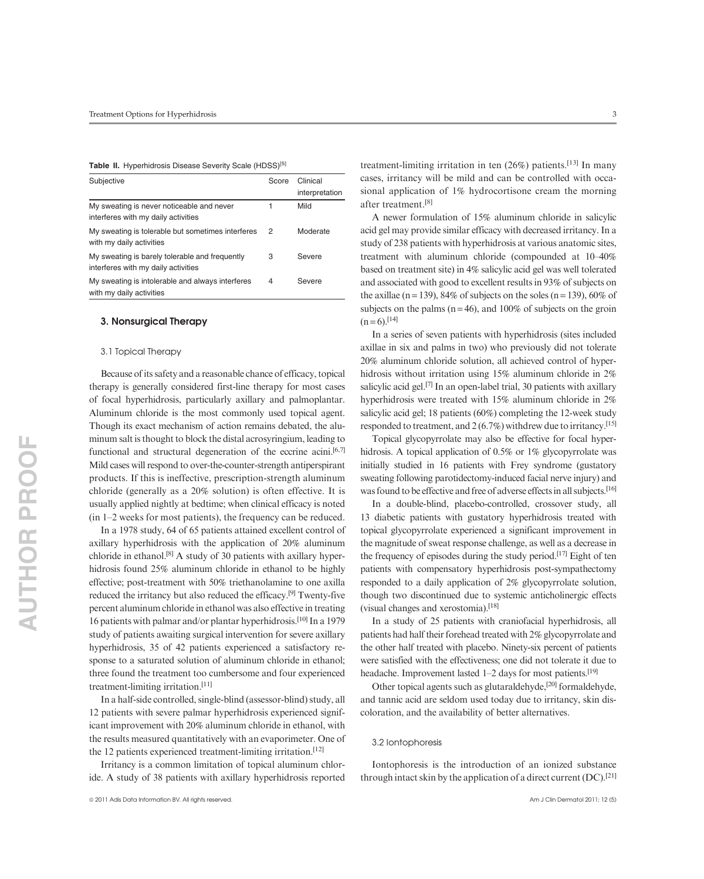#### Table II. Hyperhidrosis Disease Severity Scale (HDSS)<sup>[5]</sup>

| Subjective                                                                            | Score | Clinical<br>interpretation |
|---------------------------------------------------------------------------------------|-------|----------------------------|
| My sweating is never noticeable and never<br>interferes with my daily activities      |       | Mild                       |
| My sweating is tolerable but sometimes interferes<br>with my daily activities         | 2     | Moderate                   |
| My sweating is barely tolerable and frequently<br>interferes with my daily activities | 3     | Severe                     |
| My sweating is intolerable and always interferes<br>with my daily activities          | 4     | Severe                     |

# 3. Nonsurgical Therapy

# 3.1 Topical Therapy

Because of its safety and a reasonable chance of efficacy, topical therapy is generally considered first-line therapy for most cases of focal hyperhidrosis, particularly axillary and palmoplantar. Aluminum chloride is the most commonly used topical agent. Though its exact mechanism of action remains debated, the aluminum salt is thought to block the distal acrosyringium, leading to functional and structural degeneration of the eccrine acini.<sup>[6,7]</sup> Mild cases will respond to over-the-counter-strength antiperspirant products. If this is ineffective, prescription-strength aluminum chloride (generally as a 20% solution) is often effective. It is usually applied nightly at bedtime; when clinical efficacy is noted (in 1–2 weeks for most patients), the frequency can be reduced.

In a 1978 study, 64 of 65 patients attained excellent control of axillary hyperhidrosis with the application of 20% aluminum chloride in ethanol.[8] A study of 30 patients with axillary hyperhidrosis found 25% aluminum chloride in ethanol to be highly effective; post-treatment with 50% triethanolamine to one axilla reduced the irritancy but also reduced the efficacy.[9] Twenty-five percent aluminum chloride in ethanol was also effective in treating 16 patients with palmar and/or plantar hyperhidrosis.<sup>[10]</sup> In a 1979 study of patients awaiting surgical intervention for severe axillary hyperhidrosis, 35 of 42 patients experienced a satisfactory response to a saturated solution of aluminum chloride in ethanol; three found the treatment too cumbersome and four experienced treatment-limiting irritation.[11]

In a half-side controlled, single-blind (assessor-blind) study, all 12 patients with severe palmar hyperhidrosis experienced significant improvement with 20% aluminum chloride in ethanol, with the results measured quantitatively with an evaporimeter. One of the 12 patients experienced treatment-limiting irritation.[12]

Irritancy is a common limitation of topical aluminum chloride. A study of 38 patients with axillary hyperhidrosis reported

treatment-limiting irritation in ten  $(26%)$  patients.<sup>[13]</sup> In many cases, irritancy will be mild and can be controlled with occasional application of 1% hydrocortisone cream the morning after treatment.[8]

A newer formulation of 15% aluminum chloride in salicylic acid gel may provide similar efficacy with decreased irritancy. In a study of 238 patients with hyperhidrosis at various anatomic sites, treatment with aluminum chloride (compounded at 10–40% based on treatment site) in 4% salicylic acid gel was well tolerated and associated with good to excellent results in 93% of subjects on the axillae (n = 139), 84% of subjects on the soles (n = 139), 60% of subjects on the palms ( $n = 46$ ), and 100% of subjects on the groin  $(n=6)$ .[14]

In a series of seven patients with hyperhidrosis (sites included axillae in six and palms in two) who previously did not tolerate 20% aluminum chloride solution, all achieved control of hyperhidrosis without irritation using 15% aluminum chloride in 2% salicylic acid gel.<sup>[7]</sup> In an open-label trial, 30 patients with axillary hyperhidrosis were treated with 15% aluminum chloride in 2% salicylic acid gel; 18 patients (60%) completing the 12-week study responded to treatment, and  $2(6.7\%)$  withdrew due to irritancy.<sup>[15]</sup>

Topical glycopyrrolate may also be effective for focal hyperhidrosis. A topical application of 0.5% or 1% glycopyrrolate was initially studied in 16 patients with Frey syndrome (gustatory sweating following parotidectomy-induced facial nerve injury) and was found to be effective and free of adverse effects in all subjects.<sup>[16]</sup>

In a double-blind, placebo-controlled, crossover study, all 13 diabetic patients with gustatory hyperhidrosis treated with topical glycopyrrolate experienced a significant improvement in the magnitude of sweat response challenge, as well as a decrease in the frequency of episodes during the study period.<sup>[17]</sup> Eight of ten patients with compensatory hyperhidrosis post-sympathectomy responded to a daily application of 2% glycopyrrolate solution, though two discontinued due to systemic anticholinergic effects (visual changes and xerostomia).[18]

In a study of 25 patients with craniofacial hyperhidrosis, all patients had half their forehead treated with 2% glycopyrrolate and the other half treated with placebo. Ninety-six percent of patients were satisfied with the effectiveness; one did not tolerate it due to headache. Improvement lasted 1–2 days for most patients.<sup>[19]</sup>

Other topical agents such as glutaraldehyde,[20] formaldehyde, and tannic acid are seldom used today due to irritancy, skin discoloration, and the availability of better alternatives.

## 3.2 Iontophoresis

Iontophoresis is the introduction of an ionized substance through intact skin by the application of a direct current (DC).[21]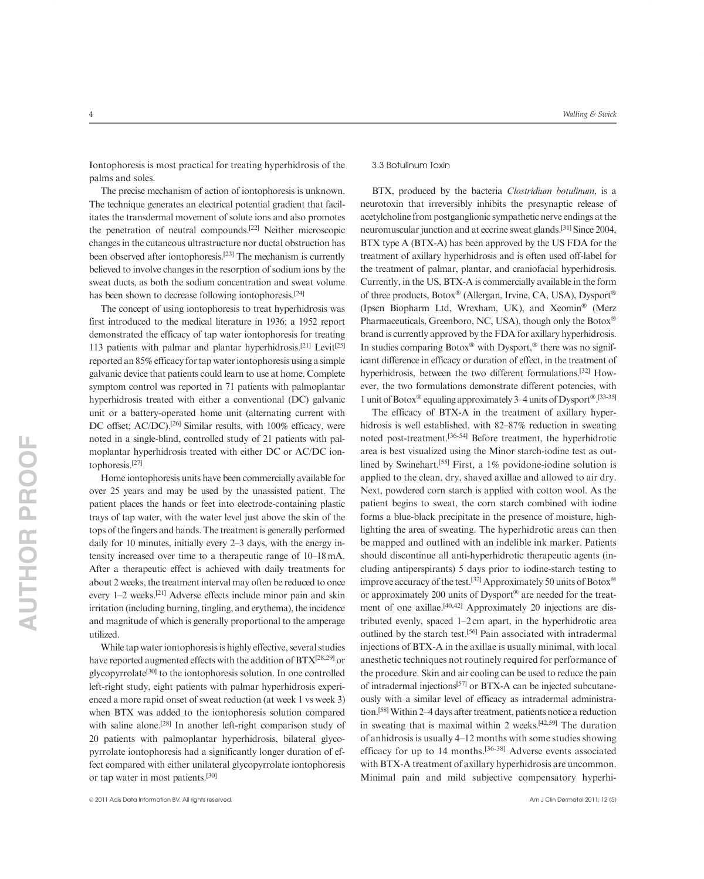Iontophoresis is most practical for treating hyperhidrosis of the palms and soles.

The precise mechanism of action of iontophoresis is unknown. The technique generates an electrical potential gradient that facilitates the transdermal movement of solute ions and also promotes the penetration of neutral compounds.[22] Neither microscopic changes in the cutaneous ultrastructure nor ductal obstruction has been observed after iontophoresis.[23] The mechanism is currently believed to involve changes in the resorption of sodium ions by the sweat ducts, as both the sodium concentration and sweat volume has been shown to decrease following iontophoresis.<sup>[24]</sup>

The concept of using iontophoresis to treat hyperhidrosis was first introduced to the medical literature in 1936; a 1952 report demonstrated the efficacy of tap water iontophoresis for treating 113 patients with palmar and plantar hyperhidrosis.[21] Levit[25] reported an 85% efficacy for tap water iontophoresis using a simple galvanic device that patients could learn to use at home. Complete symptom control was reported in 71 patients with palmoplantar hyperhidrosis treated with either a conventional (DC) galvanic unit or a battery-operated home unit (alternating current with DC offset; AC/DC).<sup>[26]</sup> Similar results, with 100% efficacy, were noted in a single-blind, controlled study of 21 patients with palmoplantar hyperhidrosis treated with either DC or AC/DC iontophoresis.[27]

Home iontophoresis units have been commercially available for over 25 years and may be used by the unassisted patient. The patient places the hands or feet into electrode-containing plastic trays of tap water, with the water level just above the skin of the tops of the fingers and hands. The treatment is generally performed daily for 10 minutes, initially every 2–3 days, with the energy intensity increased over time to a therapeutic range of 10–18 mA. After a therapeutic effect is achieved with daily treatments for about 2 weeks, the treatment interval may often be reduced to once every 1–2 weeks.[21] Adverse effects include minor pain and skin irritation (including burning, tingling, and erythema), the incidence and magnitude of which is generally proportional to the amperage utilized.

While tap water iontophoresis is highly effective, several studies have reported augmented effects with the addition of  $BTX^{[28,29]}$  or glycopyrrolate<sup>[30]</sup> to the iontophoresis solution. In one controlled left-right study, eight patients with palmar hyperhidrosis experienced a more rapid onset of sweat reduction (at week 1 vs week 3) when BTX was added to the iontophoresis solution compared with saline alone.<sup>[28]</sup> In another left-right comparison study of 20 patients with palmoplantar hyperhidrosis, bilateral glycopyrrolate iontophoresis had a significantly longer duration of effect compared with either unilateral glycopyrrolate iontophoresis or tap water in most patients.[30]

BTX, produced by the bacteria *Clostridium botulinum*, is a neurotoxin that irreversibly inhibits the presynaptic release of acetylcholine from postganglionic sympathetic nerve endings at the neuromuscular junction and at eccrine sweat glands.[31] Since 2004, BTX type A (BTX-A) has been approved by the US FDA for the treatment of axillary hyperhidrosis and is often used off-label for the treatment of palmar, plantar, and craniofacial hyperhidrosis. Currently, in the US, BTX-A is commercially available in the form of three products, Botox® (Allergan, Irvine, CA, USA), Dysport® (Ipsen Biopharm Ltd, Wrexham, UK), and Xeomin® (Merz Pharmaceuticals, Greenboro, NC, USA), though only the Botox® brand is currently approved by the FDA for axillary hyperhidrosis. In studies comparing Botox® with Dysport,® there was no significant difference in efficacy or duration of effect, in the treatment of hyperhidrosis, between the two different formulations.[32] However, the two formulations demonstrate different potencies, with 1 unit of Botox<sup>®</sup> equaling approximately 3–4 units of Dysport<sup>®</sup>.<sup>[33-35]</sup>

The efficacy of BTX-A in the treatment of axillary hyperhidrosis is well established, with 82–87% reduction in sweating noted post-treatment.[36-54] Before treatment, the hyperhidrotic area is best visualized using the Minor starch-iodine test as outlined by Swinehart.[55] First, a 1% povidone-iodine solution is applied to the clean, dry, shaved axillae and allowed to air dry. Next, powdered corn starch is applied with cotton wool. As the patient begins to sweat, the corn starch combined with iodine forms a blue-black precipitate in the presence of moisture, highlighting the area of sweating. The hyperhidrotic areas can then be mapped and outlined with an indelible ink marker. Patients should discontinue all anti-hyperhidrotic therapeutic agents (including antiperspirants) 5 days prior to iodine-starch testing to improve accuracy of the test.<sup>[32]</sup> Approximately 50 units of Botox<sup>®</sup> or approximately 200 units of Dysport® are needed for the treatment of one axillae.<sup>[40,42]</sup> Approximately 20 injections are distributed evenly, spaced 1–2 cm apart, in the hyperhidrotic area outlined by the starch test.[56] Pain associated with intradermal injections of BTX-A in the axillae is usually minimal, with local anesthetic techniques not routinely required for performance of the procedure. Skin and air cooling can be used to reduce the pain of intradermal injections[57] or BTX-A can be injected subcutaneously with a similar level of efficacy as intradermal administration.<sup>[58]</sup> Within 2–4 days after treatment, patients notice a reduction in sweating that is maximal within 2 weeks. $[42,59]$  The duration of anhidrosis is usually 4–12 months with some studies showing efficacy for up to 14 months.[36-38] Adverse events associated with BTX-A treatment of axillary hyperhidrosis are uncommon. Minimal pain and mild subjective compensatory hyperhi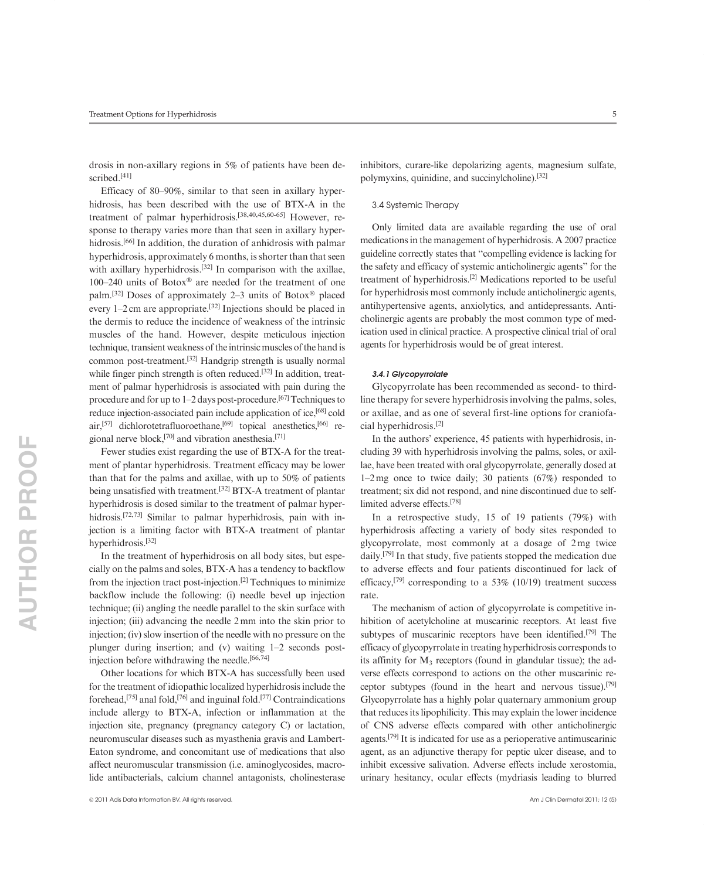drosis in non-axillary regions in 5% of patients have been described.<sup>[41]</sup>

Efficacy of 80–90%, similar to that seen in axillary hyperhidrosis, has been described with the use of BTX-A in the treatment of palmar hyperhidrosis.[38,40,45,60-65] However, response to therapy varies more than that seen in axillary hyperhidrosis.<sup>[66]</sup> In addition, the duration of anhidrosis with palmar hyperhidrosis, approximately 6 months, is shorter than that seen with axillary hyperhidrosis.<sup>[32]</sup> In comparison with the axillae, 100–240 units of Botox® are needed for the treatment of one palm.<sup>[32]</sup> Doses of approximately 2–3 units of Botox<sup>®</sup> placed every 1–2 cm are appropriate.[32] Injections should be placed in the dermis to reduce the incidence of weakness of the intrinsic muscles of the hand. However, despite meticulous injection technique, transient weakness of the intrinsic muscles of the hand is common post-treatment.[32] Handgrip strength is usually normal while finger pinch strength is often reduced.<sup>[32]</sup> In addition, treatment of palmar hyperhidrosis is associated with pain during the procedure and for up to  $1-2$  days post-procedure.<sup>[67]</sup> Techniques to reduce injection-associated pain include application of ice,<sup>[68]</sup> cold air,<sup>[57]</sup> dichlorotetrafluoroethane,<sup>[69]</sup> topical anesthetics,<sup>[66]</sup> regional nerve block,[70] and vibration anesthesia.[71]

Fewer studies exist regarding the use of BTX-A for the treatment of plantar hyperhidrosis. Treatment efficacy may be lower than that for the palms and axillae, with up to 50% of patients being unsatisfied with treatment.[32] BTX-A treatment of plantar hyperhidrosis is dosed similar to the treatment of palmar hyperhidrosis.<sup>[72,73]</sup> Similar to palmar hyperhidrosis, pain with injection is a limiting factor with BTX-A treatment of plantar hyperhidrosis.[32]

In the treatment of hyperhidrosis on all body sites, but especially on the palms and soles, BTX-A has a tendency to backflow from the injection tract post-injection.[2] Techniques to minimize backflow include the following: (i) needle bevel up injection technique; (ii) angling the needle parallel to the skin surface with injection; (iii) advancing the needle 2 mm into the skin prior to injection; (iv) slow insertion of the needle with no pressure on the plunger during insertion; and (v) waiting 1–2 seconds postinjection before withdrawing the needle. $[66,74]$ 

Other locations for which BTX-A has successfully been used for the treatment of idiopathic localized hyperhidrosis include the forehead,[75] anal fold,[76] and inguinal fold.[77] Contraindications include allergy to BTX-A, infection or inflammation at the injection site, pregnancy (pregnancy category C) or lactation, neuromuscular diseases such as myasthenia gravis and Lambert-Eaton syndrome, and concomitant use of medications that also affect neuromuscular transmission (i.e. aminoglycosides, macrolide antibacterials, calcium channel antagonists, cholinesterase inhibitors, curare-like depolarizing agents, magnesium sulfate, polymyxins, quinidine, and succinylcholine).[32]

#### 3.4 Systemic Therapy

Only limited data are available regarding the use of oral medications in the management of hyperhidrosis. A 2007 practice guideline correctly states that ''compelling evidence is lacking for the safety and efficacy of systemic anticholinergic agents'' for the treatment of hyperhidrosis.[2] Medications reported to be useful for hyperhidrosis most commonly include anticholinergic agents, antihypertensive agents, anxiolytics, and antidepressants. Anticholinergic agents are probably the most common type of medication used in clinical practice. A prospective clinical trial of oral agents for hyperhidrosis would be of great interest.

#### 3.4.1 Glycopyrrolate

Glycopyrrolate has been recommended as second- to thirdline therapy for severe hyperhidrosis involving the palms, soles, or axillae, and as one of several first-line options for craniofacial hyperhidrosis.[2]

In the authors' experience, 45 patients with hyperhidrosis, including 39 with hyperhidrosis involving the palms, soles, or axillae, have been treated with oral glycopyrrolate, generally dosed at 1–2 mg once to twice daily; 30 patients (67%) responded to treatment; six did not respond, and nine discontinued due to selflimited adverse effects.[78]

In a retrospective study, 15 of 19 patients (79%) with hyperhidrosis affecting a variety of body sites responded to glycopyrrolate, most commonly at a dosage of 2 mg twice daily.[79] In that study, five patients stopped the medication due to adverse effects and four patients discontinued for lack of efficacy,<sup>[79]</sup> corresponding to a 53% (10/19) treatment success rate.

The mechanism of action of glycopyrrolate is competitive inhibition of acetylcholine at muscarinic receptors. At least five subtypes of muscarinic receptors have been identified.<sup>[79]</sup> The efficacy of glycopyrrolate in treating hyperhidrosis corresponds to its affinity for  $M_3$  receptors (found in glandular tissue); the adverse effects correspond to actions on the other muscarinic receptor subtypes (found in the heart and nervous tissue).[79] Glycopyrrolate has a highly polar quaternary ammonium group that reduces its lipophilicity. This may explain the lower incidence of CNS adverse effects compared with other anticholinergic agents.[79] It is indicated for use as a perioperative antimuscarinic agent, as an adjunctive therapy for peptic ulcer disease, and to inhibit excessive salivation. Adverse effects include xerostomia, urinary hesitancy, ocular effects (mydriasis leading to blurred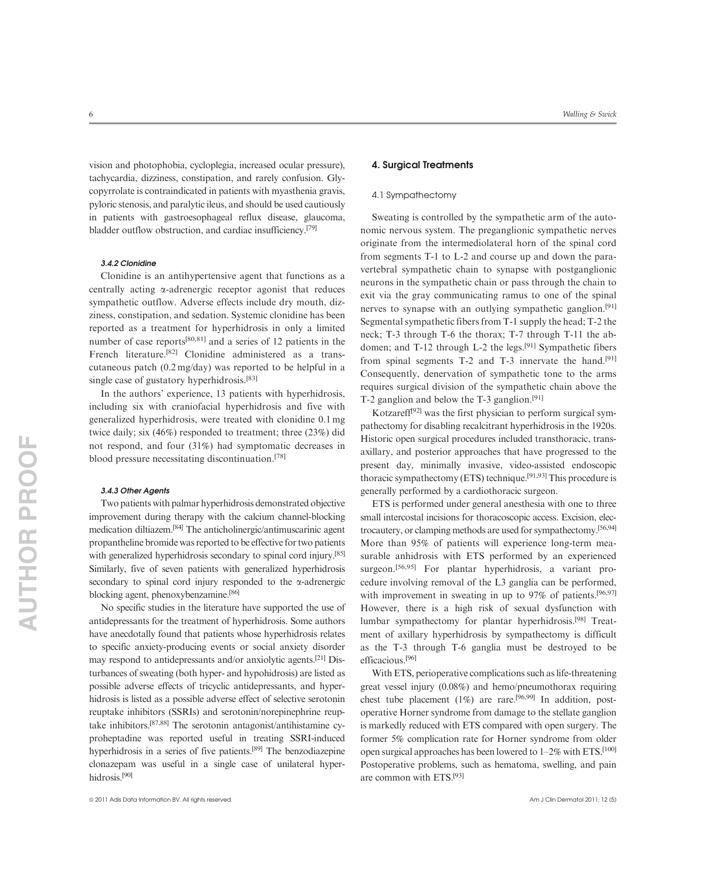vision and photophobia, cycloplegia, increased ocular pressure), tachycardia, dizziness, constipation, and rarely confusion. Glycopyrrolate is contraindicated in patients with myasthenia gravis, pyloric stenosis, and paralytic ileus, and should be used cautiously in patients with gastroesophageal reflux disease, glaucoma, bladder outflow obstruction, and cardiac insufficiency.[79]

#### 3.4.2 Clonidine

Clonidine is an antihypertensive agent that functions as a centrally acting  $\alpha$ -adrenergic receptor agonist that reduces sympathetic outflow. Adverse effects include dry mouth, dizziness, constipation, and sedation. Systemic clonidine has been reported as a treatment for hyperhidrosis in only a limited number of case reports<sup>[80,81]</sup> and a series of 12 patients in the French literature.[82] Clonidine administered as a transcutaneous patch (0.2 mg/day) was reported to be helpful in a single case of gustatory hyperhidrosis.<sup>[83]</sup>

In the authors' experience, 13 patients with hyperhidrosis, including six with craniofacial hyperhidrosis and five with generalized hyperhidrosis, were treated with clonidine 0.1 mg twice daily; six (46%) responded to treatment; three (23%) did not respond, and four (31%) had symptomatic decreases in blood pressure necessitating discontinuation.[78]

#### 3.4.3 Other Agents

Two patients with palmar hyperhidrosis demonstrated objective improvement during therapy with the calcium channel-blocking medication diltiazem.[84] The anticholinergic/antimuscarinic agent propantheline bromide was reported to be effective for two patients with generalized hyperhidrosis secondary to spinal cord injury.<sup>[85]</sup> Similarly, five of seven patients with generalized hyperhidrosis secondary to spinal cord injury responded to the  $\alpha$ -adrenergic blocking agent, phenoxybenzamine.[86]

No specific studies in the literature have supported the use of antidepressants for the treatment of hyperhidrosis. Some authors have anecdotally found that patients whose hyperhidrosis relates to specific anxiety-producing events or social anxiety disorder may respond to antidepressants and/or anxiolytic agents.[21] Disturbances of sweating (both hyper- and hypohidrosis) are listed as possible adverse effects of tricyclic antidepressants, and hyperhidrosis is listed as a possible adverse effect of selective serotonin reuptake inhibitors (SSRIs) and serotonin/norepinephrine reuptake inhibitors.[87,88] The serotonin antagonist/antihistamine cyproheptadine was reported useful in treating SSRI-induced hyperhidrosis in a series of five patients.[89] The benzodiazepine clonazepam was useful in a single case of unilateral hyperhidrosis.[90]

### 4. Surgical Treatments

#### 4.1 Sympathectomy

Sweating is controlled by the sympathetic arm of the autonomic nervous system. The preganglionic sympathetic nerves originate from the intermediolateral horn of the spinal cord from segments T-1 to L-2 and course up and down the paravertebral sympathetic chain to synapse with postganglionic neurons in the sympathetic chain or pass through the chain to exit via the gray communicating ramus to one of the spinal nerves to synapse with an outlying sympathetic ganglion.[91] Segmental sympathetic fibers from T-1 supply the head; T-2 the neck; T-3 through T-6 the thorax; T-7 through T-11 the abdomen; and T-12 through L-2 the legs.[91] Sympathetic fibers from spinal segments T-2 and T-3 innervate the hand.<sup>[91]</sup> Consequently, denervation of sympathetic tone to the arms requires surgical division of the sympathetic chain above the T-2 ganglion and below the T-3 ganglion.[91]

Kotzareff<sup>[92]</sup> was the first physician to perform surgical sympathectomy for disabling recalcitrant hyperhidrosis in the 1920s. Historic open surgical procedures included transthoracic, transaxillary, and posterior approaches that have progressed to the present day, minimally invasive, video-assisted endoscopic thoracic sympathectomy (ETS) technique.<sup>[91,93]</sup> This procedure is generally performed by a cardiothoracic surgeon.

ETS is performed under general anesthesia with one to three small intercostal incisions for thoracoscopic access. Excision, electrocautery, or clamping methods are used for sympathectomy.[56,94] More than 95% of patients will experience long-term measurable anhidrosis with ETS performed by an experienced surgeon.<sup>[56,95]</sup> For plantar hyperhidrosis, a variant procedure involving removal of the L3 ganglia can be performed, with improvement in sweating in up to 97% of patients.<sup>[96,97]</sup> However, there is a high risk of sexual dysfunction with lumbar sympathectomy for plantar hyperhidrosis.[98] Treatment of axillary hyperhidrosis by sympathectomy is difficult as the T-3 through T-6 ganglia must be destroyed to be efficacious.[96]

With ETS, perioperative complications such as life-threatening great vessel injury (0.08%) and hemo/pneumothorax requiring chest tube placement (1%) are rare.<sup>[96,99]</sup> In addition, postoperative Horner syndrome from damage to the stellate ganglion is markedly reduced with ETS compared with open surgery. The former 5% complication rate for Horner syndrome from older open surgical approaches has been lowered to  $1-2\%$  with ETS.<sup>[100]</sup> Postoperative problems, such as hematoma, swelling, and pain are common with ETS.[93]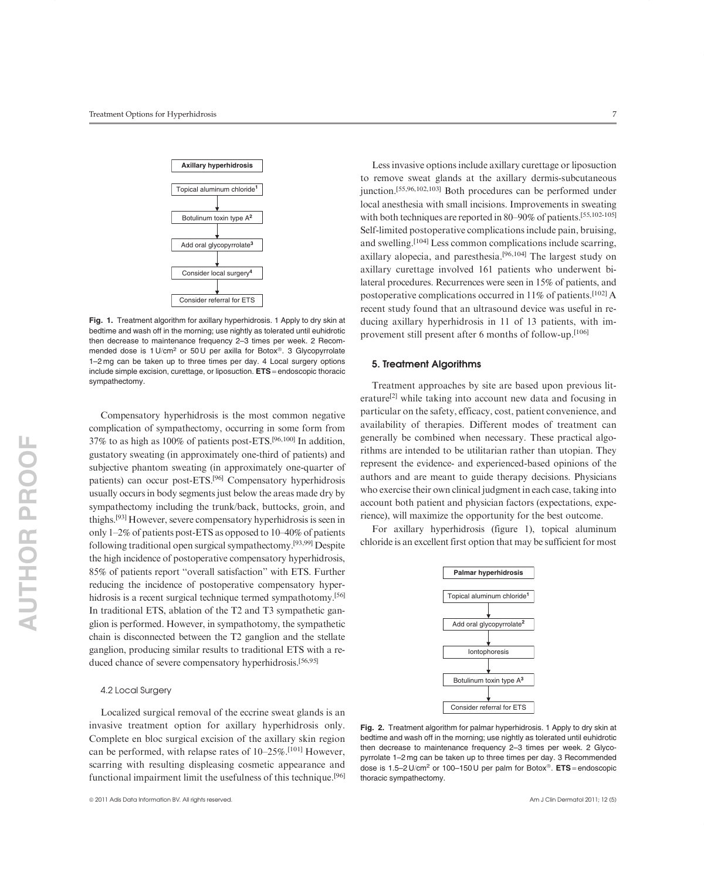

Fig. 1. Treatment algorithm for axillary hyperhidrosis. 1 Apply to dry skin at bedtime and wash off in the morning; use nightly as tolerated until euhidrotic then decrease to maintenance frequency 2–3 times per week. 2 Recommended dose is 1 U/cm<sup>2</sup> or 50 U per axilla for Botox®. 3 Glycopyrrolate 1–2 mg can be taken up to three times per day. 4 Local surgery options include simple excision, curettage, or liposuction. ETS = endoscopic thoracic sympathectomy.

Compensatory hyperhidrosis is the most common negative complication of sympathectomy, occurring in some form from 37% to as high as 100% of patients post-ETS.[96,100] In addition, gustatory sweating (in approximately one-third of patients) and subjective phantom sweating (in approximately one-quarter of patients) can occur post-ETS.[96] Compensatory hyperhidrosis usually occurs in body segments just below the areas made dry by sympathectomy including the trunk/back, buttocks, groin, and thighs.[93] However, severe compensatory hyperhidrosis is seen in only 1–2% of patients post-ETS as opposed to 10–40% of patients following traditional open surgical sympathectomy.[93,99] Despite the high incidence of postoperative compensatory hyperhidrosis, 85% of patients report ''overall satisfaction'' with ETS. Further reducing the incidence of postoperative compensatory hyperhidrosis is a recent surgical technique termed sympathotomy.<sup>[56]</sup> In traditional ETS, ablation of the T2 and T3 sympathetic ganglion is performed. However, in sympathotomy, the sympathetic chain is disconnected between the T2 ganglion and the stellate ganglion, producing similar results to traditional ETS with a reduced chance of severe compensatory hyperhidrosis.[56,95]

#### 4.2 Local Surgery

Localized surgical removal of the eccrine sweat glands is an invasive treatment option for axillary hyperhidrosis only. Complete en bloc surgical excision of the axillary skin region can be performed, with relapse rates of 10–25%.<sup>[101]</sup> However, scarring with resulting displeasing cosmetic appearance and functional impairment limit the usefulness of this technique.[96]

Less invasive options include axillary curettage or liposuction to remove sweat glands at the axillary dermis-subcutaneous junction.[55,96,102,103] Both procedures can be performed under local anesthesia with small incisions. Improvements in sweating with both techniques are reported in 80–90% of patients.[55,102-105] Self-limited postoperative complications include pain, bruising, and swelling.[104] Less common complications include scarring, axillary alopecia, and paresthesia.[96,104] The largest study on axillary curettage involved 161 patients who underwent bilateral procedures. Recurrences were seen in 15% of patients, and postoperative complications occurred in 11% of patients.<sup>[102]</sup> A recent study found that an ultrasound device was useful in reducing axillary hyperhidrosis in 11 of 13 patients, with improvement still present after 6 months of follow-up.[106]

#### 5. Treatment Algorithms

Treatment approaches by site are based upon previous literature<sup>[2]</sup> while taking into account new data and focusing in particular on the safety, efficacy, cost, patient convenience, and availability of therapies. Different modes of treatment can generally be combined when necessary. These practical algorithms are intended to be utilitarian rather than utopian. They represent the evidence- and experienced-based opinions of the authors and are meant to guide therapy decisions. Physicians who exercise their own clinical judgment in each case, taking into account both patient and physician factors (expectations, experience), will maximize the opportunity for the best outcome.

For axillary hyperhidrosis (figure 1), topical aluminum chloride is an excellent first option that may be sufficient for most



Fig. 2. Treatment algorithm for palmar hyperhidrosis. 1 Apply to dry skin at bedtime and wash off in the morning; use nightly as tolerated until euhidrotic then decrease to maintenance frequency 2–3 times per week. 2 Glycopyrrolate 1–2 mg can be taken up to three times per day. 3 Recommended dose is 1.5–2 U/cm<sup>2</sup> or 100–150 U per palm for Botox®.  $ETS = endoscopic$ thoracic sympathectomy.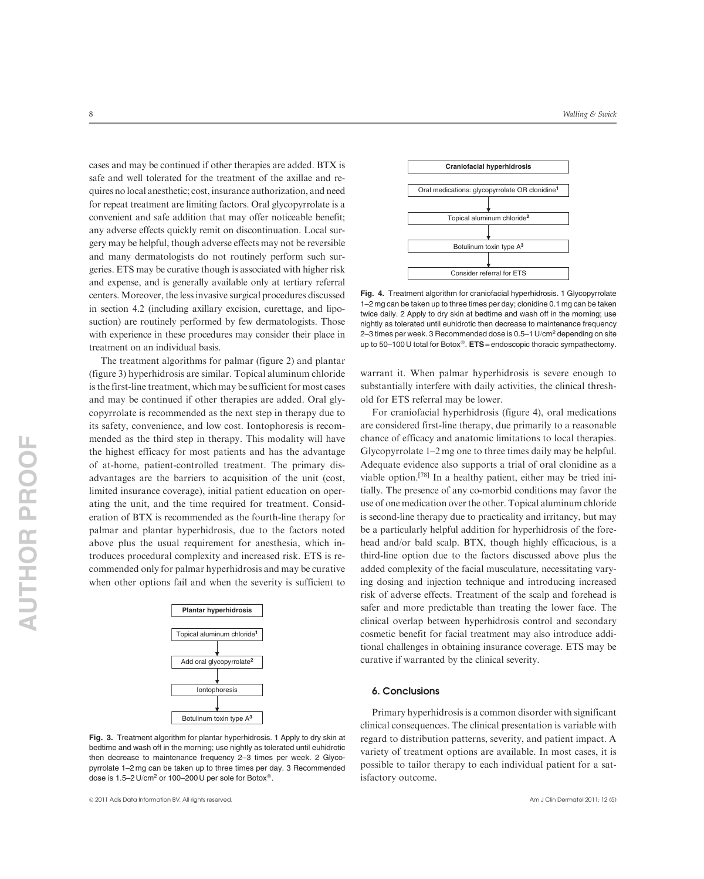cases and may be continued if other therapies are added. BTX is safe and well tolerated for the treatment of the axillae and requires no local anesthetic; cost, insurance authorization, and need for repeat treatment are limiting factors. Oral glycopyrrolate is a convenient and safe addition that may offer noticeable benefit; any adverse effects quickly remit on discontinuation. Local surgery may be helpful, though adverse effects may not be reversible and many dermatologists do not routinely perform such surgeries. ETS may be curative though is associated with higher risk and expense, and is generally available only at tertiary referral centers. Moreover, the less invasive surgical procedures discussed in section 4.2 (including axillary excision, curettage, and liposuction) are routinely performed by few dermatologists. Those with experience in these procedures may consider their place in treatment on an individual basis.

The treatment algorithms for palmar (figure 2) and plantar (figure 3) hyperhidrosis are similar. Topical aluminum chloride is the first-line treatment, which may be sufficient for most cases and may be continued if other therapies are added. Oral glycopyrrolate is recommended as the next step in therapy due to its safety, convenience, and low cost. Iontophoresis is recommended as the third step in therapy. This modality will have the highest efficacy for most patients and has the advantage of at-home, patient-controlled treatment. The primary disadvantages are the barriers to acquisition of the unit (cost, limited insurance coverage), initial patient education on operating the unit, and the time required for treatment. Consideration of BTX is recommended as the fourth-line therapy for palmar and plantar hyperhidrosis, due to the factors noted above plus the usual requirement for anesthesia, which introduces procedural complexity and increased risk. ETS is recommended only for palmar hyperhidrosis and may be curative when other options fail and when the severity is sufficient to



Fig. 3. Treatment algorithm for plantar hyperhidrosis. 1 Apply to dry skin at bedtime and wash off in the morning; use nightly as tolerated until euhidrotic then decrease to maintenance frequency 2–3 times per week. 2 Glycopyrrolate 1–2 mg can be taken up to three times per day. 3 Recommended dose is 1.5-2 U/cm<sup>2</sup> or 100-200 U per sole for Botox<sup>®</sup>.



Fig. 4. Treatment algorithm for craniofacial hyperhidrosis. 1 Glycopyrrolate 1–2 mg can be taken up to three times per day; clonidine 0.1 mg can be taken twice daily. 2 Apply to dry skin at bedtime and wash off in the morning; use nightly as tolerated until euhidrotic then decrease to maintenance frequency 2–3 times per week. 3 Recommended dose is 0.5–1 U/cm2 depending on site up to 50-100 U total for Botox<sup>®</sup>.  $ETS =$ endoscopic thoracic sympathectomy.

warrant it. When palmar hyperhidrosis is severe enough to substantially interfere with daily activities, the clinical threshold for ETS referral may be lower.

For craniofacial hyperhidrosis (figure 4), oral medications are considered first-line therapy, due primarily to a reasonable chance of efficacy and anatomic limitations to local therapies. Glycopyrrolate 1–2 mg one to three times daily may be helpful. Adequate evidence also supports a trial of oral clonidine as a viable option.[78] In a healthy patient, either may be tried initially. The presence of any co-morbid conditions may favor the use of one medication over the other. Topical aluminum chloride is second-line therapy due to practicality and irritancy, but may be a particularly helpful addition for hyperhidrosis of the forehead and/or bald scalp. BTX, though highly efficacious, is a third-line option due to the factors discussed above plus the added complexity of the facial musculature, necessitating varying dosing and injection technique and introducing increased risk of adverse effects. Treatment of the scalp and forehead is safer and more predictable than treating the lower face. The clinical overlap between hyperhidrosis control and secondary cosmetic benefit for facial treatment may also introduce additional challenges in obtaining insurance coverage. ETS may be curative if warranted by the clinical severity.

#### 6. Conclusions

Primary hyperhidrosis is a common disorder with significant clinical consequences. The clinical presentation is variable with regard to distribution patterns, severity, and patient impact. A variety of treatment options are available. In most cases, it is possible to tailor therapy to each individual patient for a satisfactory outcome.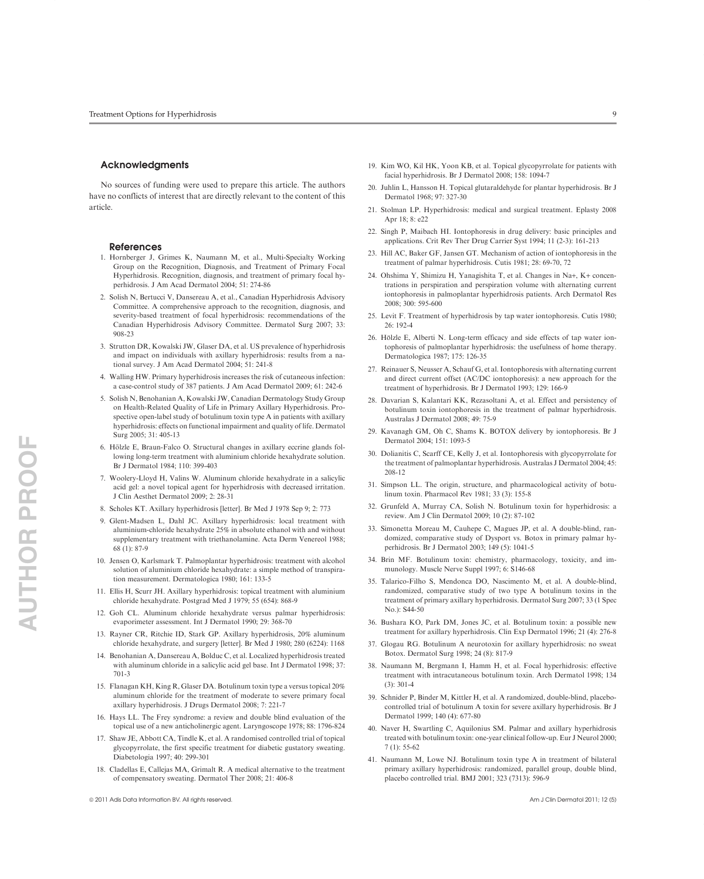#### Acknowledgments

No sources of funding were used to prepare this article. The authors have no conflicts of interest that are directly relevant to the content of this article.

#### References

- 1. Hornberger J, Grimes K, Naumann M, et al., Multi-Specialty Working Group on the Recognition, Diagnosis, and Treatment of Primary Focal Hyperhidrosis. Recognition, diagnosis, and treatment of primary focal hyperhidrosis. J Am Acad Dermatol 2004; 51: 274-86
- 2. Solish N, Bertucci V, Dansereau A, et al., Canadian Hyperhidrosis Advisory Committee. A comprehensive approach to the recognition, diagnosis, and severity-based treatment of focal hyperhidrosis: recommendations of the Canadian Hyperhidrosis Advisory Committee. Dermatol Surg 2007; 33: 908-23
- 3. Strutton DR, Kowalski JW, Glaser DA, et al. US prevalence of hyperhidrosis and impact on individuals with axillary hyperhidrosis: results from a national survey. J Am Acad Dermatol 2004; 51: 241-8
- 4. Walling HW. Primary hyperhidrosis increases the risk of cutaneous infection: a case-control study of 387 patients. J Am Acad Dermatol 2009; 61: 242-6
- 5. Solish N, Benohanian A, Kowalski JW, Canadian Dermatology Study Group on Health-Related Quality of Life in Primary Axillary Hyperhidrosis. Prospective open-label study of botulinum toxin type A in patients with axillary hyperhidrosis: effects on functional impairment and quality of life. Dermatol Surg 2005; 31: 405-13
- 6. Hölzle E, Braun-Falco O. Structural changes in axillary eccrine glands following long-term treatment with aluminium chloride hexahydrate solution. Br J Dermatol 1984; 110: 399-403
- 7. Woolery-Lloyd H, Valins W. Aluminum chloride hexahydrate in a salicylic acid gel: a novel topical agent for hyperhidrosis with decreased irritation. J Clin Aesthet Dermatol 2009; 2: 28-31
- 8. Scholes KT. Axillary hyperhidrosis [letter]. Br Med J 1978 Sep 9; 2: 773
- 9. Glent-Madsen L, Dahl JC. Axillary hyperhidrosis: local treatment with aluminium-chloride hexahydrate 25% in absolute ethanol with and without supplementary treatment with triethanolamine. Acta Derm Venereol 1988; 68 (1): 87-9
- 10. Jensen O, Karlsmark T. Palmoplantar hyperhidrosis: treatment with alcohol solution of aluminium chloride hexahydrate: a simple method of transpiration measurement. Dermatologica 1980; 161: 133-5
- 11. Ellis H, Scurr JH. Axillary hyperhidrosis: topical treatment with aluminium chloride hexahydrate. Postgrad Med J 1979; 55 (654): 868-9
- 12. Goh CL. Aluminum chloride hexahydrate versus palmar hyperhidrosis: evaporimeter assessment. Int J Dermatol 1990; 29: 368-70
- 13. Rayner CR, Ritchie ID, Stark GP. Axillary hyperhidrosis, 20% aluminum chloride hexahydrate, and surgery [letter]. Br Med J 1980; 280 (6224): 1168
- 14. Benohanian A, Dansereau A, Bolduc C, et al. Localized hyperhidrosis treated with aluminum chloride in a salicylic acid gel base. Int J Dermatol 1998; 37: 701-3
- 15. Flanagan KH, King R, Glaser DA. Botulinum toxin type a versus topical 20% aluminum chloride for the treatment of moderate to severe primary focal axillary hyperhidrosis. J Drugs Dermatol 2008; 7: 221-7
- 16. Hays LL. The Frey syndrome: a review and double blind evaluation of the topical use of a new anticholinergic agent. Laryngoscope 1978; 88: 1796-824
- 17. Shaw JE, Abbott CA, Tindle K, et al. A randomised controlled trial of topical glycopyrrolate, the first specific treatment for diabetic gustatory sweating. Diabetologia 1997; 40: 299-301
- 18. Cladellas E, Callejas MA, Grimalt R. A medical alternative to the treatment of compensatory sweating. Dermatol Ther 2008; 21: 406-8
- 19. Kim WO, Kil HK, Yoon KB, et al. Topical glycopyrrolate for patients with facial hyperhidrosis. Br J Dermatol 2008; 158: 1094-7
- 20. Juhlin L, Hansson H. Topical glutaraldehyde for plantar hyperhidrosis. Br J Dermatol 1968; 97: 327-30
- 21. Stolman LP. Hyperhidrosis: medical and surgical treatment. Eplasty 2008 Apr 18; 8: e22
- 22. Singh P, Maibach HI. Iontophoresis in drug delivery: basic principles and applications. Crit Rev Ther Drug Carrier Syst 1994; 11 (2-3): 161-213
- 23. Hill AC, Baker GF, Jansen GT. Mechanism of action of iontophoresis in the treatment of palmar hyperhidrosis. Cutis 1981; 28: 69-70, 72
- 24. Ohshima Y, Shimizu H, Yanagishita T, et al. Changes in Na+, K+ concentrations in perspiration and perspiration volume with alternating current iontophoresis in palmoplantar hyperhidrosis patients. Arch Dermatol Res 2008; 300: 595-600
- 25. Levit F. Treatment of hyperhidrosis by tap water iontophoresis. Cutis 1980; 26: 192-4
- 26. Hölzle E, Alberti N. Long-term efficacy and side effects of tap water iontophoresis of palmoplantar hyperhidrosis: the usefulness of home therapy. Dermatologica 1987; 175: 126-35
- 27. Reinauer S, Neusser A, Schauf G, et al. Iontophoresis with alternating current and direct current offset (AC/DC iontophoresis): a new approach for the treatment of hyperhidrosis. Br J Dermatol 1993; 129: 166-9
- 28. Davarian S, Kalantari KK, Rezasoltani A, et al. Effect and persistency of botulinum toxin iontophoresis in the treatment of palmar hyperhidrosis. Australas J Dermatol 2008; 49: 75-9
- 29. Kavanagh GM, Oh C, Shams K. BOTOX delivery by iontophoresis. Br J Dermatol 2004; 151: 1093-5
- 30. Dolianitis C, Scarff CE, Kelly J, et al. Iontophoresis with glycopyrrolate for the treatment of palmoplantar hyperhidrosis. Australas J Dermatol 2004; 45: 208-12
- 31. Simpson LL. The origin, structure, and pharmacological activity of botulinum toxin. Pharmacol Rev 1981; 33 (3): 155-8
- 32. Grunfeld A, Murray CA, Solish N. Botulinum toxin for hyperhidrosis: a review. Am J Clin Dermatol 2009; 10 (2): 87-102
- 33. Simonetta Moreau M, Cauhepe C, Magues JP, et al. A double-blind, randomized, comparative study of Dysport vs. Botox in primary palmar hyperhidrosis. Br J Dermatol 2003; 149 (5): 1041-5
- 34. Brin MF. Botulinum toxin: chemistry, pharmacology, toxicity, and immunology. Muscle Nerve Suppl 1997; 6: S146-68
- 35. Talarico-Filho S, Mendonca DO, Nascimento M, et al. A double-blind, randomized, comparative study of two type A botulinum toxins in the treatment of primary axillary hyperhidrosis. Dermatol Surg 2007; 33 (1 Spec No.): S44-50
- 36. Bushara KO, Park DM, Jones JC, et al. Botulinum toxin: a possible new treatment for axillary hyperhidrosis. Clin Exp Dermatol 1996; 21 (4): 276-8
- 37. Glogau RG. Botulinum A neurotoxin for axillary hyperhidrosis: no sweat Botox. Dermatol Surg 1998; 24 (8): 817-9
- 38. Naumann M, Bergmann I, Hamm H, et al. Focal hyperhidrosis: effective treatment with intracutaneous botulinum toxin. Arch Dermatol 1998; 134 (3): 301-4
- 39. Schnider P, Binder M, Kittler H, et al. A randomized, double-blind, placebocontrolled trial of botulinum A toxin for severe axillary hyperhidrosis. Br J Dermatol 1999; 140 (4): 677-80
- 40. Naver H, Swartling C, Aquilonius SM. Palmar and axillary hyperhidrosis treated with botulinum toxin: one-year clinical follow-up. Eur J Neurol 2000; 7 (1): 55-62
- 41. Naumann M, Lowe NJ. Botulinum toxin type A in treatment of bilateral primary axillary hyperhidrosis: randomized, parallel group, double blind, placebo controlled trial. BMJ 2001; 323 (7313): 596-9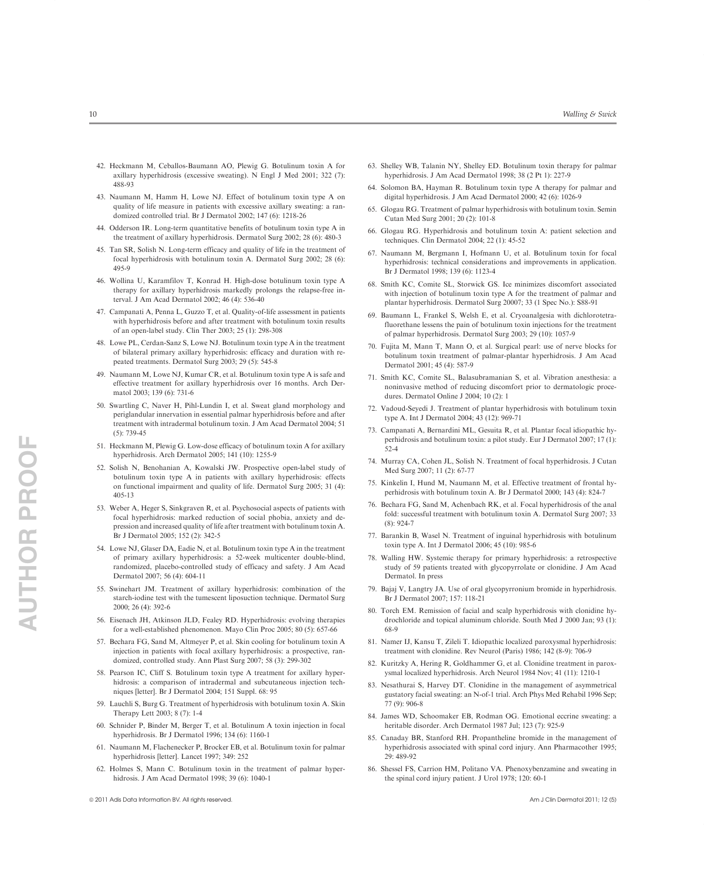- 42. Heckmann M, Ceballos-Baumann AO, Plewig G. Botulinum toxin A for axillary hyperhidrosis (excessive sweating). N Engl J Med 2001; 322 (7): 488-93
- 43. Naumann M, Hamm H, Lowe NJ. Effect of botulinum toxin type A on quality of life measure in patients with excessive axillary sweating: a randomized controlled trial. Br J Dermatol 2002; 147 (6): 1218-26
- 44. Odderson IR. Long-term quantitative benefits of botulinum toxin type A in the treatment of axillary hyperhidrosis. Dermatol Surg 2002; 28 (6): 480-3
- 45. Tan SR, Solish N. Long-term efficacy and quality of life in the treatment of focal hyperhidrosis with botulinum toxin A. Dermatol Surg 2002; 28 (6): 495-9
- 46. Wollina U, Karamfilov T, Konrad H. High-dose botulinum toxin type A therapy for axillary hyperhidrosis markedly prolongs the relapse-free interval. J Am Acad Dermatol 2002; 46 (4): 536-40
- 47. Campanati A, Penna L, Guzzo T, et al. Quality-of-life assessment in patients with hyperhidrosis before and after treatment with botulinum toxin results of an open-label study. Clin Ther 2003; 25 (1): 298-308
- 48. Lowe PL, Cerdan-Sanz S, Lowe NJ. Botulinum toxin type A in the treatment of bilateral primary axillary hyperhidrosis: efficacy and duration with repeated treatments. Dermatol Surg 2003; 29 (5): 545-8
- 49. Naumann M, Lowe NJ, Kumar CR, et al. Botulinum toxin type A is safe and effective treatment for axillary hyperhidrosis over 16 months. Arch Dermatol 2003; 139 (6): 731-6
- 50. Swartling C, Naver H, Pihl-Lundin I, et al. Sweat gland morphology and periglandular innervation in essential palmar hyperhidrosis before and after treatment with intradermal botulinum toxin. J Am Acad Dermatol 2004; 51 (5): 739-45
- 51. Heckmann M, Plewig G. Low-dose efficacy of botulinum toxin A for axillary hyperhidrosis. Arch Dermatol 2005; 141 (10): 1255-9
- 52. Solish N, Benohanian A, Kowalski JW. Prospective open-label study of botulinum toxin type A in patients with axillary hyperhidrosis: effects on functional impairment and quality of life. Dermatol Surg 2005; 31 (4): 405-13
- 53. Weber A, Heger S, Sinkgraven R, et al. Psychosocial aspects of patients with focal hyperhidrosis: marked reduction of social phobia, anxiety and depression and increased quality of life after treatment with botulinum toxin A. Br J Dermatol 2005; 152 (2): 342-5
- 54. Lowe NJ, Glaser DA, Eadie N, et al. Botulinum toxin type A in the treatment of primary axillary hyperhidrosis: a 52-week multicenter double-blind, randomized, placebo-controlled study of efficacy and safety. J Am Acad Dermatol 2007; 56 (4): 604-11
- 55. Swinehart JM. Treatment of axillary hyperhidrosis: combination of the starch-iodine test with the tumescent liposuction technique. Dermatol Surg  $2000 \cdot 26$  (4): 392-6
- 56. Eisenach JH, Atkinson JLD, Fealey RD. Hyperhidrosis: evolving therapies for a well-established phenomenon. Mayo Clin Proc 2005; 80 (5): 657-66
- 57. Bechara FG, Sand M, Altmeyer P, et al. Skin cooling for botulinum toxin A injection in patients with focal axillary hyperhidrosis: a prospective, randomized, controlled study. Ann Plast Surg 2007; 58 (3): 299-302
- 58. Pearson IC, Cliff S. Botulinum toxin type A treatment for axillary hyperhidrosis: a comparison of intradermal and subcutaneous injection techniques [letter]. Br J Dermatol 2004; 151 Suppl. 68: 95
- 59. Lauchli S, Burg G. Treatment of hyperhidrosis with botulinum toxin A. Skin Therapy Lett 2003; 8 (7): 1-4
- 60. Schnider P, Binder M, Berger T, et al. Botulinum A toxin injection in focal hyperhidrosis. Br J Dermatol 1996; 134 (6): 1160-1
- 61. Naumann M, Flachenecker P, Brocker EB, et al. Botulinum toxin for palmar hyperhidrosis [letter]. Lancet 1997; 349: 252
- 62. Holmes S, Mann C. Botulinum toxin in the treatment of palmar hyperhidrosis. J Am Acad Dermatol 1998; 39 (6): 1040-1
- ª 2011 Adis Data Information BV. All rights reserved. Am J Clin Dermatol 2011; 12 (5)
- 63. Shelley WB, Talanin NY, Shelley ED. Botulinum toxin therapy for palmar hyperhidrosis. J Am Acad Dermatol 1998; 38 (2 Pt 1): 227-9
- 64. Solomon BA, Hayman R. Botulinum toxin type A therapy for palmar and digital hyperhidrosis. J Am Acad Dermatol 2000; 42 (6): 1026-9
- 65. Glogau RG. Treatment of palmar hyperhidrosis with botulinum toxin. Semin Cutan Med Surg 2001; 20 (2): 101-8
- 66. Glogau RG. Hyperhidrosis and botulinum toxin A: patient selection and techniques. Clin Dermatol 2004; 22 (1): 45-52
- 67. Naumann M, Bergmann I, Hofmann U, et al. Botulinum toxin for focal hyperhidrosis: technical considerations and improvements in application. Br J Dermatol 1998; 139 (6): 1123-4
- 68. Smith KC, Comite SL, Storwick GS. Ice minimizes discomfort associated with injection of botulinum toxin type A for the treatment of palmar and plantar hyperhidrosis. Dermatol Surg 20007; 33 (1 Spec No.): S88-91
- 69. Baumann L, Frankel S, Welsh E, et al. Cryoanalgesia with dichlorotetrafluorethane lessens the pain of botulinum toxin injections for the treatment of palmar hyperhidrosis. Dermatol Surg 2003; 29 (10): 1057-9
- 70. Fujita M, Mann T, Mann O, et al. Surgical pearl: use of nerve blocks for botulinum toxin treatment of palmar-plantar hyperhidrosis. J Am Acad Dermatol 2001; 45 (4): 587-9
- 71. Smith KC, Comite SL, Balasubramanian S, et al. Vibration anesthesia: a noninvasive method of reducing discomfort prior to dermatologic procedures. Dermatol Online J 2004; 10 (2): 1
- 72. Vadoud-Seyedi J. Treatment of plantar hyperhidrosis with botulinum toxin type A. Int J Dermatol 2004; 43 (12): 969-71
- 73. Campanati A, Bernardini ML, Gesuita R, et al. Plantar focal idiopathic hyperhidrosis and botulinum toxin: a pilot study. Eur J Dermatol 2007; 17 (1): 52-4
- 74. Murray CA, Cohen JL, Solish N. Treatment of focal hyperhidrosis. J Cutan Med Surg 2007; 11 (2): 67-77
- 75. Kinkelin I, Hund M, Naumann M, et al. Effective treatment of frontal hyperhidrosis with botulinum toxin A. Br J Dermatol 2000; 143 (4): 824-7
- 76. Bechara FG, Sand M, Achenbach RK, et al. Focal hyperhidrosis of the anal fold: successful treatment with botulinum toxin A. Dermatol Surg 2007; 33 (8): 924-7
- 77. Barankin B, Wasel N. Treatment of inguinal hyperhidrosis with botulinum toxin type A. Int J Dermatol 2006; 45 (10): 985-6
- 78. Walling HW. Systemic therapy for primary hyperhidrosis: a retrospective study of 59 patients treated with glycopyrrolate or clonidine. J Am Acad Dermatol. In press
- 79. Bajaj V, Langtry JA. Use of oral glycopyrronium bromide in hyperhidrosis. Br J Dermatol 2007; 157: 118-21
- 80. Torch EM. Remission of facial and scalp hyperhidrosis with clonidine hydrochloride and topical aluminum chloride. South Med J 2000 Jan; 93 (1): 68-9
- 81. Namer IJ, Kansu T, Zileli T. Idiopathic localized paroxysmal hyperhidrosis: treatment with clonidine. Rev Neurol (Paris) 1986; 142 (8-9): 706-9
- 82. Kuritzky A, Hering R, Goldhammer G, et al. Clonidine treatment in paroxysmal localized hyperhidrosis. Arch Neurol 1984 Nov; 41 (11): 1210-1
- 83. Nesathurai S, Harvey DT. Clonidine in the management of asymmetrical gustatory facial sweating: an N-of-1 trial. Arch Phys Med Rehabil 1996 Sep; 77 (9): 906-8
- 84. James WD, Schoomaker EB, Rodman OG. Emotional eccrine sweating: a heritable disorder. Arch Dermatol 1987 Jul; 123 (7): 925-9
- 85. Canaday BR, Stanford RH. Propantheline bromide in the management of hyperhidrosis associated with spinal cord injury. Ann Pharmacother 1995; 29: 489-92
- 86. Shessel FS, Carrion HM, Politano VA. Phenoxybenzamine and sweating in the spinal cord injury patient. J Urol 1978; 120: 60-1